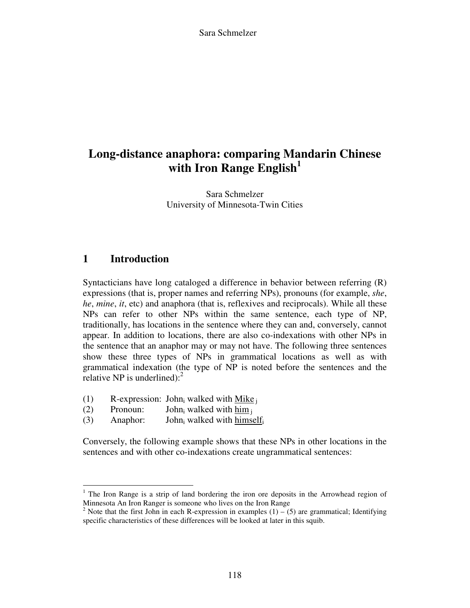Sara Schmelzer

# **Long-distance anaphora: comparing Mandarin Chinese with Iron Range English<sup>1</sup>**

Sara Schmelzer University of Minnesota-Twin Cities

## **1 Introduction**

 $\overline{a}$ 

Syntacticians have long cataloged a difference in behavior between referring (R) expressions (that is, proper names and referring NPs), pronouns (for example, *she*, *he*, *mine*, *it*, etc) and anaphora (that is, reflexives and reciprocals). While all these NPs can refer to other NPs within the same sentence, each type of NP, traditionally, has locations in the sentence where they can and, conversely, cannot appear. In addition to locations, there are also co-indexations with other NPs in the sentence that an anaphor may or may not have. The following three sentences show these three types of NPs in grammatical locations as well as with grammatical indexation (the type of NP is noted before the sentences and the relative NP is underlined): $<sup>2</sup>$ </sup>

- (1) R-expression: John<sub>i</sub> walked with  $Mike_j$
- $(2)$  Pronoun: John<sub>i</sub> walked with him  $\frac{1}{1}$
- $(3)$  Anaphor: John<sub>i</sub> walked with himself<sub>i</sub>

Conversely, the following example shows that these NPs in other locations in the sentences and with other co-indexations create ungrammatical sentences:

<sup>&</sup>lt;sup>1</sup> The Iron Range is a strip of land bordering the iron ore deposits in the Arrowhead region of Minnesota An Iron Ranger is someone who lives on the Iron Range

<sup>&</sup>lt;sup>2</sup> Note that the first John in each R-expression in examples  $(1) - (5)$  are grammatical; Identifying specific characteristics of these differences will be looked at later in this squib.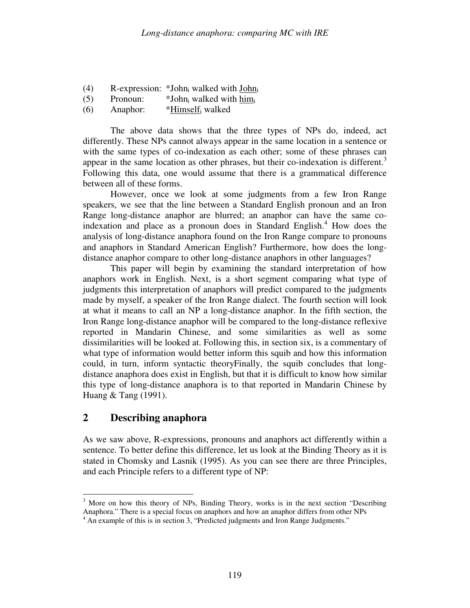- (4) R-expression: \*John<sub>i</sub> walked with  $\underline{John_i}$
- $(5)$  Pronoun:  $*John_i$  walked with himi
- $(6)$  Anaphor: \*Himself<sub>i</sub> walked

 The above data shows that the three types of NPs do, indeed, act differently. These NPs cannot always appear in the same location in a sentence or with the same types of co-indexation as each other; some of these phrases can appear in the same location as other phrases, but their co-indexation is different.<sup>3</sup> Following this data, one would assume that there is a grammatical difference between all of these forms.

 However, once we look at some judgments from a few Iron Range speakers, we see that the line between a Standard English pronoun and an Iron Range long-distance anaphor are blurred; an anaphor can have the same coindexation and place as a pronoun does in Standard English.<sup>4</sup> How does the analysis of long-distance anaphora found on the Iron Range compare to pronouns and anaphors in Standard American English? Furthermore, how does the longdistance anaphor compare to other long-distance anaphors in other languages?

 This paper will begin by examining the standard interpretation of how anaphors work in English. Next, is a short segment comparing what type of judgments this interpretation of anaphors will predict compared to the judgments made by myself, a speaker of the Iron Range dialect. The fourth section will look at what it means to call an NP a long-distance anaphor. In the fifth section, the Iron Range long-distance anaphor will be compared to the long-distance reflexive reported in Mandarin Chinese, and some similarities as well as some dissimilarities will be looked at. Following this, in section six, is a commentary of what type of information would better inform this squib and how this information could, in turn, inform syntactic theoryFinally, the squib concludes that longdistance anaphora does exist in English, but that it is difficult to know how similar this type of long-distance anaphora is to that reported in Mandarin Chinese by Huang & Tang (1991).

## **2 Describing anaphora**

As we saw above, R-expressions, pronouns and anaphors act differently within a sentence. To better define this difference, let us look at the Binding Theory as it is stated in Chomsky and Lasnik (1995). As you can see there are three Principles, and each Principle refers to a different type of NP:

<sup>&</sup>lt;sup>3</sup> More on how this theory of NPs, Binding Theory, works is in the next section "Describing" Anaphora." There is a special focus on anaphors and how an anaphor differs from other NPs

<sup>&</sup>lt;sup>4</sup> An example of this is in section 3, "Predicted judgments and Iron Range Judgments."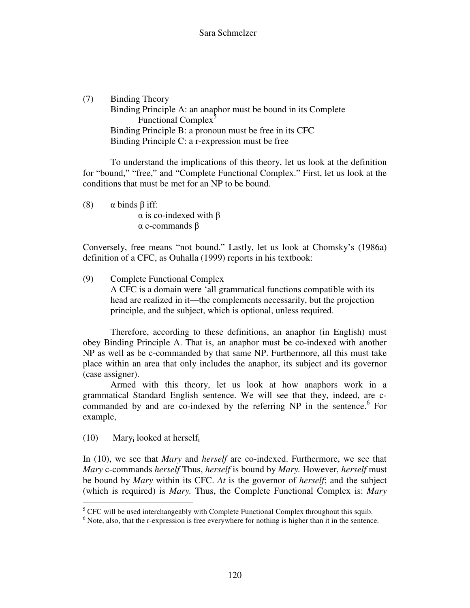(7) Binding Theory Binding Principle A: an anaphor must be bound in its Complete Functional Complex<sup>5</sup> Binding Principle B: a pronoun must be free in its CFC Binding Principle C: a r-expression must be free

 To understand the implications of this theory, let us look at the definition for "bound," "free," and "Complete Functional Complex." First, let us look at the conditions that must be met for an NP to be bound.

(8)  $\alpha$  binds  $\beta$  iff: α is co-indexed with β α c-commands β

Conversely, free means "not bound." Lastly, let us look at Chomsky's (1986a) definition of a CFC, as Ouhalla (1999) reports in his textbook:

(9) Complete Functional Complex A CFC is a domain were 'all grammatical functions compatible with its head are realized in it—the complements necessarily, but the projection principle, and the subject, which is optional, unless required.

 Therefore, according to these definitions, an anaphor (in English) must obey Binding Principle A. That is, an anaphor must be co-indexed with another NP as well as be c-commanded by that same NP. Furthermore, all this must take place within an area that only includes the anaphor, its subject and its governor (case assigner).

 Armed with this theory, let us look at how anaphors work in a grammatical Standard English sentence. We will see that they, indeed, are ccommanded by and are co-indexed by the referring NP in the sentence.<sup>6</sup> For example,

 $(10)$  Mary<sub>i</sub> looked at herself<sub>i</sub>

In (10), we see that *Mary* and *herself* are co-indexed. Furthermore, we see that *Mary* c-commands *herself* Thus, *herself* is bound by *Mary.* However, *herself* must be bound by *Mary* within its CFC. *At* is the governor of *herself*; and the subject (which is required) is *Mary.* Thus, the Complete Functional Complex is: *Mary* 

<sup>&</sup>lt;sup>5</sup> CFC will be used interchangeably with Complete Functional Complex throughout this squib.

<sup>&</sup>lt;sup>6</sup> Note, also, that the r-expression is free everywhere for nothing is higher than it in the sentence.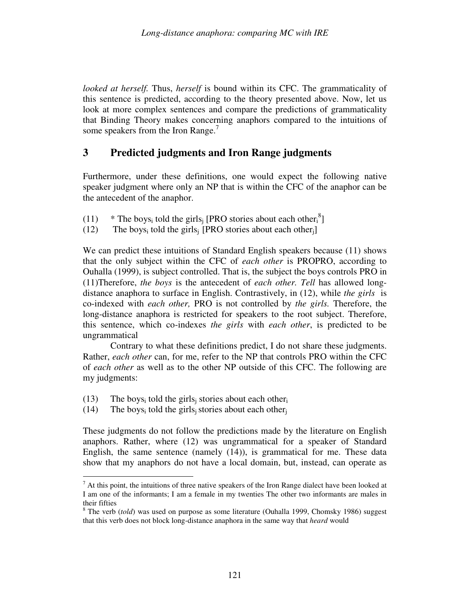*looked at herself.* Thus, *herself* is bound within its CFC. The grammaticality of this sentence is predicted, according to the theory presented above. Now, let us look at more complex sentences and compare the predictions of grammaticality that Binding Theory makes concerning anaphors compared to the intuitions of some speakers from the Iron Range. $<sup>7</sup>$ </sup>

#### **3 Predicted judgments and Iron Range judgments**

Furthermore, under these definitions, one would expect the following native speaker judgment where only an NP that is within the CFC of the anaphor can be the antecedent of the anaphor.

- (11) \* The boys<sub>i</sub> told the girls<sub>j</sub> [PRO stories about each other<sub>i</sub><sup>8</sup>]
- (12) The boys<sub>i</sub> told the girls<sub>j</sub> [PRO stories about each other<sub>j</sub>]

We can predict these intuitions of Standard English speakers because (11) shows that the only subject within the CFC of *each other* is PROPRO, according to Ouhalla (1999), is subject controlled. That is, the subject the boys controls PRO in (11)Therefore, *the boys* is the antecedent of *each other. Tell* has allowed longdistance anaphora to surface in English. Contrastively, in (12), while *the girls* is co-indexed with *each other,* PRO is not controlled by *the girls.* Therefore, the long-distance anaphora is restricted for speakers to the root subject. Therefore, this sentence, which co-indexes *the girls* with *each other*, is predicted to be ungrammatical

 Contrary to what these definitions predict, I do not share these judgments. Rather, *each other* can, for me, refer to the NP that controls PRO within the CFC of *each other* as well as to the other NP outside of this CFC. The following are my judgments:

- (13) The boys<sub>i</sub> told the girls<sub>j</sub> stories about each other<sub>i</sub>
- (14) The boys<sub>i</sub> told the girls<sub>j</sub> stories about each other<sub>j</sub>

These judgments do not follow the predictions made by the literature on English anaphors. Rather, where (12) was ungrammatical for a speaker of Standard English, the same sentence (namely (14)), is grammatical for me. These data show that my anaphors do not have a local domain, but, instead, can operate as

 $\overline{a}$  $<sup>7</sup>$  At this point, the intuitions of three native speakers of the Iron Range dialect have been looked at</sup> I am one of the informants; I am a female in my twenties The other two informants are males in their fifties

<sup>&</sup>lt;sup>8</sup> The verb (*told*) was used on purpose as some literature (Ouhalla 1999, Chomsky 1986) suggest that this verb does not block long-distance anaphora in the same way that *heard* would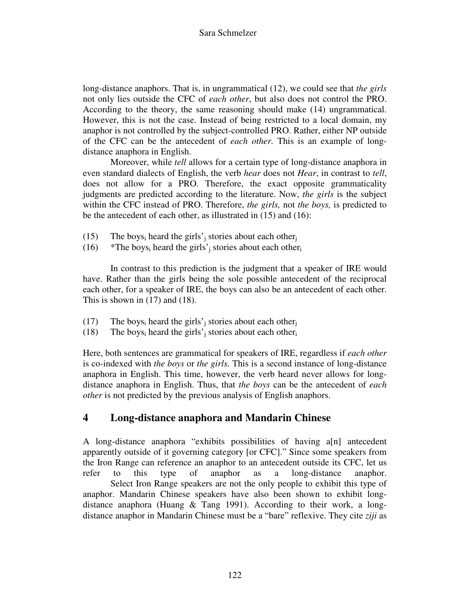long-distance anaphors. That is, in ungrammatical (12), we could see that *the girls*  not only lies outside the CFC of *each other*, but also does not control the PRO. According to the theory, the same reasoning should make (14) ungrammatical. However, this is not the case. Instead of being restricted to a local domain, my anaphor is not controlled by the subject-controlled PRO. Rather, either NP outside of the CFC can be the antecedent of *each other.* This is an example of longdistance anaphora in English.

 Moreover, while *tell* allows for a certain type of long-distance anaphora in even standard dialects of English, the verb *hear* does not *Hear*, in contrast to *tell*, does not allow for a PRO. Therefore, the exact opposite grammaticality judgments are predicted according to the literature. Now, *the girls* is the subject within the CFC instead of PRO. Therefore, *the girls,* not *the boys,* is predicted to be the antecedent of each other, as illustrated in (15) and (16):

- (15) The boys<sub>i</sub> heard the girls'<sub>j</sub> stories about each other<sub>j</sub>
- (16) \*The boys<sub>i</sub> heard the girls'<sub>j</sub> stories about each other<sub>i</sub>

 In contrast to this prediction is the judgment that a speaker of IRE would have. Rather than the girls being the sole possible antecedent of the reciprocal each other, for a speaker of IRE, the boys can also be an antecedent of each other. This is shown in (17) and (18).

- (17) The boys<sub>i</sub> heard the girls'<sub>j</sub> stories about each other<sub>j</sub>
- (18) The boys<sub>i</sub> heard the girls'<sub>j</sub> stories about each other<sub>i</sub>

Here, both sentences are grammatical for speakers of IRE, regardless if *each other* is co-indexed with *the boys* or *the girls.* This is a second instance of long-distance anaphora in English. This time, however, the verb heard never allows for longdistance anaphora in English. Thus, that *the boys* can be the antecedent of *each other* is not predicted by the previous analysis of English anaphors.

## **4 Long-distance anaphora and Mandarin Chinese**

A long-distance anaphora "exhibits possibilities of having a[n] antecedent apparently outside of it governing category [or CFC]." Since some speakers from the Iron Range can reference an anaphor to an antecedent outside its CFC, let us refer to this type of anaphor as a long-distance anaphor. Select Iron Range speakers are not the only people to exhibit this type of anaphor. Mandarin Chinese speakers have also been shown to exhibit longdistance anaphora (Huang & Tang 1991). According to their work, a longdistance anaphor in Mandarin Chinese must be a "bare" reflexive. They cite *ziji* as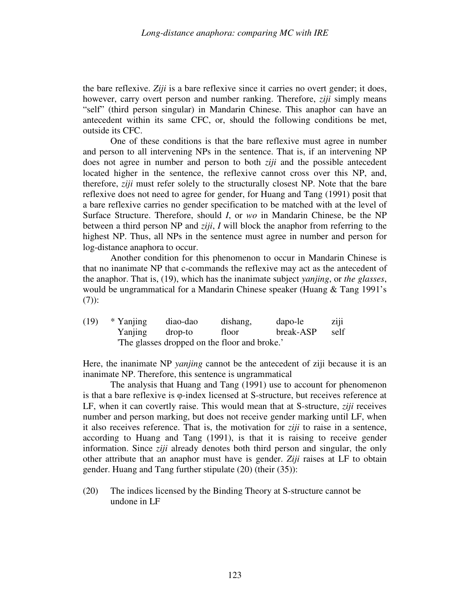the bare reflexive. *Ziji* is a bare reflexive since it carries no overt gender; it does, however, carry overt person and number ranking. Therefore, *ziji* simply means "self" (third person singular) in Mandarin Chinese. This anaphor can have an antecedent within its same CFC, or, should the following conditions be met, outside its CFC.

 One of these conditions is that the bare reflexive must agree in number and person to all intervening NPs in the sentence. That is, if an intervening NP does not agree in number and person to both *ziji* and the possible antecedent located higher in the sentence, the reflexive cannot cross over this NP, and, therefore, *ziji* must refer solely to the structurally closest NP. Note that the bare reflexive does not need to agree for gender, for Huang and Tang (1991) posit that a bare reflexive carries no gender specification to be matched with at the level of Surface Structure. Therefore, should *I*, or *wo* in Mandarin Chinese, be the NP between a third person NP and *ziji*, *I* will block the anaphor from referring to the highest NP. Thus, all NPs in the sentence must agree in number and person for log-distance anaphora to occur.

 Another condition for this phenomenon to occur in Mandarin Chinese is that no inanimate NP that c-commands the reflexive may act as the antecedent of the anaphor. That is, (19), which has the inanimate subject *yanjing*, or *the glasses*, would be ungrammatical for a Mandarin Chinese speaker (Huang & Tang 1991's (7)):

| (19) | * Yanjing                                   | diao-dao | dishang, | dapo-le   | ziji |
|------|---------------------------------------------|----------|----------|-----------|------|
|      | Yanjing                                     | drop-to  | floor    | break-ASP | self |
|      | The glasses dropped on the floor and broke. |          |          |           |      |

Here, the inanimate NP *yanjing* cannot be the antecedent of ziji because it is an inanimate NP. Therefore, this sentence is ungrammatical

 The analysis that Huang and Tang (1991) use to account for phenomenon is that a bare reflexive is φ-index licensed at S-structure, but receives reference at LF, when it can covertly raise. This would mean that at S-structure, *ziji* receives number and person marking, but does not receive gender marking until LF, when it also receives reference. That is, the motivation for *ziji* to raise in a sentence, according to Huang and Tang (1991), is that it is raising to receive gender information. Since *ziji* already denotes both third person and singular, the only other attribute that an anaphor must have is gender. *Ziji* raises at LF to obtain gender. Huang and Tang further stipulate (20) (their (35)):

(20) The indices licensed by the Binding Theory at S-structure cannot be undone in LF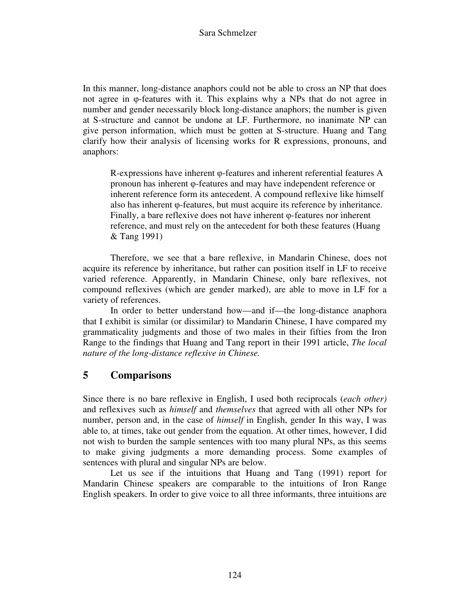In this manner, long-distance anaphors could not be able to cross an NP that does not agree in φ-features with it. This explains why a NPs that do not agree in number and gender necessarily block long-distance anaphors; the number is given at S-structure and cannot be undone at LF. Furthermore, no inanimate NP can give person information, which must be gotten at S-structure. Huang and Tang clarify how their analysis of licensing works for R expressions, pronouns, and anaphors:

R-expressions have inherent φ-features and inherent referential features A pronoun has inherent φ-features and may have independent reference or inherent reference form its antecedent. A compound reflexive like himself also has inherent φ-features, but must acquire its reference by inheritance. Finally, a bare reflexive does not have inherent φ-features nor inherent reference, and must rely on the antecedent for both these features (Huang & Tang 1991)

 Therefore, we see that a bare reflexive, in Mandarin Chinese, does not acquire its reference by inheritance, but rather can position itself in LF to receive varied reference. Apparently, in Mandarin Chinese, only bare reflexives, not compound reflexives (which are gender marked), are able to move in LF for a variety of references.

 In order to better understand how—and if—the long-distance anaphora that I exhibit is similar (or dissimilar) to Mandarin Chinese, I have compared my grammaticality judgments and those of two males in their fifties from the Iron Range to the findings that Huang and Tang report in their 1991 article, *The local nature of the long-distance reflexive in Chinese.* 

## **5 Comparisons**

Since there is no bare reflexive in English, I used both reciprocals (*each other)* and reflexives such as *himself* and *themselves* that agreed with all other NPs for number, person and, in the case of *himself* in English, gender In this way, I was able to, at times, take out gender from the equation. At other times, however, I did not wish to burden the sample sentences with too many plural NPs, as this seems to make giving judgments a more demanding process. Some examples of sentences with plural and singular NPs are below.

 Let us see if the intuitions that Huang and Tang (1991) report for Mandarin Chinese speakers are comparable to the intuitions of Iron Range English speakers. In order to give voice to all three informants, three intuitions are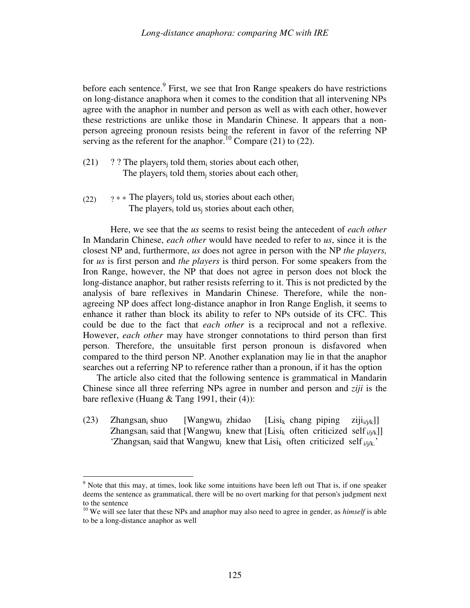before each sentence.<sup>9</sup> First, we see that Iron Range speakers do have restrictions on long-distance anaphora when it comes to the condition that all intervening NPs agree with the anaphor in number and person as well as with each other, however these restrictions are unlike those in Mandarin Chinese. It appears that a nonperson agreeing pronoun resists being the referent in favor of the referring NP serving as the referent for the anaphor.<sup>10</sup> Compare (21) to (22).

- $(21)$  ? ? The players<sub>j</sub> told them<sub>i</sub> stories about each other<sub>i</sub> The players<sub>i</sub> told them<sub>j</sub> stories about each other<sub>i</sub>
- (22)  $?$  \* \* The players<sub>j</sub> told us<sub>i</sub> stories about each other<sub>i</sub> The players<sub>i</sub> told us<sub>j</sub> stories about each other<sub>i</sub>

Here, we see that the *us* seems to resist being the antecedent of *each other* In Mandarin Chinese, *each other* would have needed to refer to *us*, since it is the closest NP and, furthermore, *us* does not agree in person with the NP *the players,* for *us* is first person and *the players* is third person. For some speakers from the Iron Range, however, the NP that does not agree in person does not block the long-distance anaphor, but rather resists referring to it. This is not predicted by the analysis of bare reflexives in Mandarin Chinese. Therefore, while the nonagreeing NP does affect long-distance anaphor in Iron Range English, it seems to enhance it rather than block its ability to refer to NPs outside of its CFC. This could be due to the fact that *each other* is a reciprocal and not a reflexive. However, *each other* may have stronger connotations to third person than first person. Therefore, the unsuitable first person pronoun is disfavored when compared to the third person NP. Another explanation may lie in that the anaphor searches out a referring NP to reference rather than a pronoun, if it has the option

The article also cited that the following sentence is grammatical in Mandarin Chinese since all three referring NPs agree in number and person and *ziji* is the bare reflexive (Huang  $&$  Tang 1991, their (4)):

 $(23)$  Zhangsan<sub>i</sub> shuo  $[Wangwu_i]$  zhidao  $[Lisi_k \text{ change } piping \text{ zijn }ziji_k]$ Zhangsan<sub>i</sub> said that [Wangwu<sub>j</sub> knew that [Lisi<sub>k</sub> often criticized self<sub>i/j/k</sub>]] 'Zhangsan<sub>i</sub> said that Wangwu<sub>j</sub> knew that Lisi<sub>k</sub> often criticized self<sub>i/j/k</sub>.'

 $\overline{a}$ 

<sup>&</sup>lt;sup>9</sup> Note that this may, at times, look like some intuitions have been left out That is, if one speaker deems the sentence as grammatical, there will be no overt marking for that person's judgment next to the sentence

<sup>&</sup>lt;sup>10</sup> We will see later that these NPs and anaphor may also need to agree in gender, as *himself* is able to be a long-distance anaphor as well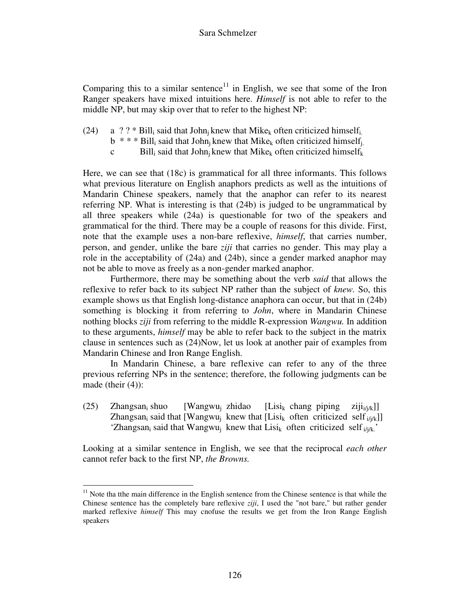Comparing this to a similar sentence<sup>11</sup> in English, we see that some of the Iron Ranger speakers have mixed intuitions here. *Himself* is not able to refer to the middle NP, but may skip over that to refer to the highest NP:

- (24) a ? ? \* Bill<sub>i</sub> said that John<sub>j</sub> knew that Mike<sub>k</sub> often criticized himself<sub>i</sub>
- $b^*$  \* \* Bill<sub>i</sub> said that John<sub>j</sub> knew that Mike<sub>k</sub> often criticized himself<sub>j</sub>
- c Bill<sub>i</sub> said that John<sub>j</sub> knew that Mike<sub>k</sub> often criticized himself<sub>k</sub>

Here, we can see that (18c) is grammatical for all three informants. This follows what previous literature on English anaphors predicts as well as the intuitions of Mandarin Chinese speakers, namely that the anaphor can refer to its nearest referring NP. What is interesting is that (24b) is judged to be ungrammatical by all three speakers while (24a) is questionable for two of the speakers and grammatical for the third. There may be a couple of reasons for this divide. First, note that the example uses a non-bare reflexive, *himself*, that carries number, person, and gender, unlike the bare *ziji* that carries no gender. This may play a role in the acceptability of (24a) and (24b), since a gender marked anaphor may not be able to move as freely as a non-gender marked anaphor.

 Furthermore, there may be something about the verb *said* that allows the reflexive to refer back to its subject NP rather than the subject of *knew.* So, this example shows us that English long-distance anaphora can occur, but that in (24b) something is blocking it from referring to *John*, where in Mandarin Chinese nothing blocks *ziji* from referring to the middle R-expression *Wangwu.* In addition to these arguments, *himself* may be able to refer back to the subject in the matrix clause in sentences such as (24)Now, let us look at another pair of examples from Mandarin Chinese and Iron Range English.

 In Mandarin Chinese, a bare reflexive can refer to any of the three previous referring NPs in the sentence; therefore, the following judgments can be made (their  $(4)$ ):

 $(25)$  Zhangsan<sub>i</sub> shuo  $[W$ angwu<sub>i</sub> zhidao  $[Lisi_k \text{ change } piping \text{ zijn }ziji_k]$ Zhangsan<sub>i</sub> said that [Wangwu<sub>j</sub> knew that [Lisi<sub>k</sub> often criticized self<sub>i/j/k</sub>]] 'Zhangsan<sub>i</sub> said that Wangwu<sub>j</sub> knew that Lisi<sub>k</sub> often criticized self<sub>i/j/k</sub>.'

Looking at a similar sentence in English, we see that the reciprocal *each other* cannot refer back to the first NP, *the Browns.*

 $\overline{a}$ 

 $11$  Note tha tthe main difference in the English sentence from the Chinese sentence is that while the Chinese sentence has the completely bare reflexive *ziji*, I used the "not bare," but rather gender marked reflexive *himself* This may cnofuse the results we get from the Iron Range English speakers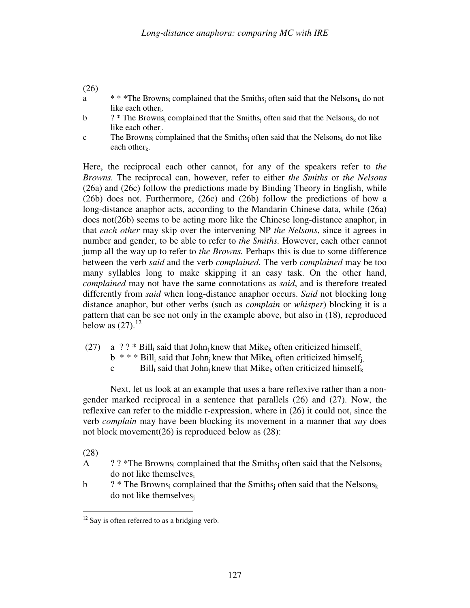#### (26)

- a  $* * * \text{The Brown}_i$  complained that the Smiths<sub>i</sub> often said that the Nelsons<sub>k</sub> do not like each other.
- b ?\* The Browns<sub>i</sub> complained that the Smiths<sub>j</sub> often said that the Nelsons<sub>k</sub> do not like each other<sub>j</sub>.
- c The Browns<sub>i</sub> complained that the Smiths<sub>j</sub> often said that the Nelsons<sub>k</sub> do not like each other $k$ .

Here, the reciprocal each other cannot, for any of the speakers refer to *the Browns.* The reciprocal can, however, refer to either *the Smiths* or *the Nelsons* (26a) and (26c) follow the predictions made by Binding Theory in English, while (26b) does not. Furthermore, (26c) and (26b) follow the predictions of how a long-distance anaphor acts, according to the Mandarin Chinese data, while (26a) does not(26b) seems to be acting more like the Chinese long-distance anaphor, in that *each other* may skip over the intervening NP *the Nelsons*, since it agrees in number and gender, to be able to refer to *the Smiths.* However, each other cannot jump all the way up to refer to *the Browns.* Perhaps this is due to some difference between the verb *said* and the verb *complained.* The verb *complained* may be too many syllables long to make skipping it an easy task. On the other hand, *complained* may not have the same connotations as *said*, and is therefore treated differently from *said* when long-distance anaphor occurs. *Said* not blocking long distance anaphor, but other verbs (such as *complain* or *whisper*) blocking it is a pattern that can be see not only in the example above, but also in (18), reproduced below as  $(27).^{12}$ 

- (27) a ? ? \* Bill<sub>i</sub> said that John<sub>j</sub> knew that Mike<sub>k</sub> often criticized himself<sub>i</sub>
- $b^*$  \* \* Bill<sub>i</sub> said that John<sub>j</sub> knew that Mike<sub>k</sub> often criticized himself<sub>j</sub>
- c Bill<sub>i</sub> said that John<sub>j</sub> knew that Mike<sub>k</sub> often criticized himself<sub>k</sub>

 Next, let us look at an example that uses a bare reflexive rather than a nongender marked reciprocal in a sentence that parallels (26) and (27). Now, the reflexive can refer to the middle r-expression, where in (26) it could not, since the verb *complain* may have been blocking its movement in a manner that *say* does not block movement(26) is reproduced below as (28):

(28)

- A ? ? \*The Browns<sub>i</sub> complained that the Smiths<sub>j</sub> often said that the Nelsons<sub>k</sub> do not like themselves<sub>i</sub>
- b  $?$  \* The Browns<sub>i</sub> complained that the Smiths<sub>j</sub> often said that the Nelsons<sub>k</sub> do not like themselves<sup>j</sup>

l  $12$  Say is often referred to as a bridging verb.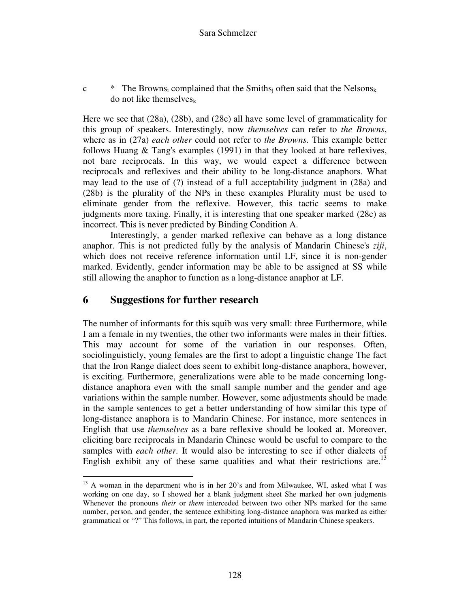c  $\star$  The Browns<sub>i</sub> complained that the Smiths<sub>j</sub> often said that the Nelsons<sub>k</sub> do not like themselves $_k$ 

Here we see that (28a), (28b), and (28c) all have some level of grammaticality for this group of speakers. Interestingly, now *themselves* can refer to *the Browns*, where as in (27a) *each other* could not refer to *the Browns.* This example better follows Huang & Tang's examples (1991) in that they looked at bare reflexives, not bare reciprocals. In this way, we would expect a difference between reciprocals and reflexives and their ability to be long-distance anaphors. What may lead to the use of (?) instead of a full acceptability judgment in (28a) and (28b) is the plurality of the NPs in these examples Plurality must be used to eliminate gender from the reflexive. However, this tactic seems to make judgments more taxing. Finally, it is interesting that one speaker marked (28c) as incorrect. This is never predicted by Binding Condition A.

 Interestingly, a gender marked reflexive can behave as a long distance anaphor. This is not predicted fully by the analysis of Mandarin Chinese's *ziji*, which does not receive reference information until LF, since it is non-gender marked. Evidently, gender information may be able to be assigned at SS while still allowing the anaphor to function as a long-distance anaphor at LF.

#### **6 Suggestions for further research**

 $\overline{a}$ 

The number of informants for this squib was very small: three Furthermore, while I am a female in my twenties, the other two informants were males in their fifties. This may account for some of the variation in our responses. Often, sociolinguisticly, young females are the first to adopt a linguistic change The fact that the Iron Range dialect does seem to exhibit long-distance anaphora, however, is exciting. Furthermore, generalizations were able to be made concerning longdistance anaphora even with the small sample number and the gender and age variations within the sample number. However, some adjustments should be made in the sample sentences to get a better understanding of how similar this type of long-distance anaphora is to Mandarin Chinese. For instance, more sentences in English that use *themselves* as a bare reflexive should be looked at. Moreover, eliciting bare reciprocals in Mandarin Chinese would be useful to compare to the samples with *each other.* It would also be interesting to see if other dialects of English exhibit any of these same qualities and what their restrictions are.<sup>13</sup>

<sup>&</sup>lt;sup>13</sup> A woman in the department who is in her 20's and from Milwaukee, WI, asked what I was working on one day, so I showed her a blank judgment sheet She marked her own judgments Whenever the pronouns *their* or *them* interceded between two other NPs marked for the same number, person, and gender, the sentence exhibiting long-distance anaphora was marked as either grammatical or "?" This follows, in part, the reported intuitions of Mandarin Chinese speakers.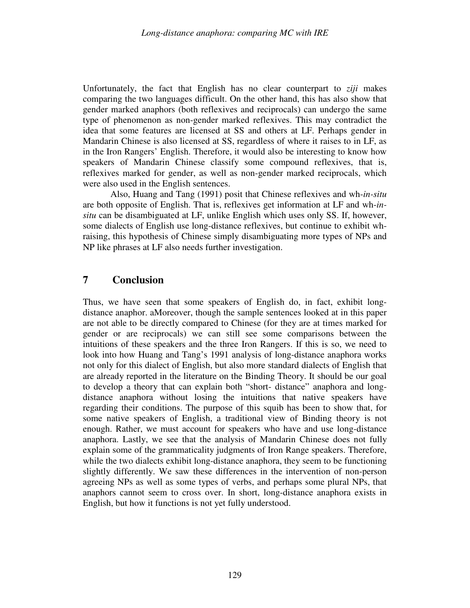Unfortunately, the fact that English has no clear counterpart to *ziji* makes comparing the two languages difficult. On the other hand, this has also show that gender marked anaphors (both reflexives and reciprocals) can undergo the same type of phenomenon as non-gender marked reflexives. This may contradict the idea that some features are licensed at SS and others at LF. Perhaps gender in Mandarin Chinese is also licensed at SS, regardless of where it raises to in LF, as in the Iron Rangers' English. Therefore, it would also be interesting to know how speakers of Mandarin Chinese classify some compound reflexives, that is, reflexives marked for gender, as well as non-gender marked reciprocals, which were also used in the English sentences.

 Also, Huang and Tang (1991) posit that Chinese reflexives and wh-*in-situ* are both opposite of English. That is, reflexives get information at LF and wh-*insitu* can be disambiguated at LF, unlike English which uses only SS. If, however, some dialects of English use long-distance reflexives, but continue to exhibit whraising, this hypothesis of Chinese simply disambiguating more types of NPs and NP like phrases at LF also needs further investigation.

#### **7 Conclusion**

Thus, we have seen that some speakers of English do, in fact, exhibit longdistance anaphor. aMoreover, though the sample sentences looked at in this paper are not able to be directly compared to Chinese (for they are at times marked for gender or are reciprocals) we can still see some comparisons between the intuitions of these speakers and the three Iron Rangers. If this is so, we need to look into how Huang and Tang's 1991 analysis of long-distance anaphora works not only for this dialect of English, but also more standard dialects of English that are already reported in the literature on the Binding Theory. It should be our goal to develop a theory that can explain both "short- distance" anaphora and longdistance anaphora without losing the intuitions that native speakers have regarding their conditions. The purpose of this squib has been to show that, for some native speakers of English, a traditional view of Binding theory is not enough. Rather, we must account for speakers who have and use long-distance anaphora. Lastly, we see that the analysis of Mandarin Chinese does not fully explain some of the grammaticality judgments of Iron Range speakers. Therefore, while the two dialects exhibit long-distance anaphora, they seem to be functioning slightly differently. We saw these differences in the intervention of non-person agreeing NPs as well as some types of verbs, and perhaps some plural NPs, that anaphors cannot seem to cross over. In short, long-distance anaphora exists in English, but how it functions is not yet fully understood.